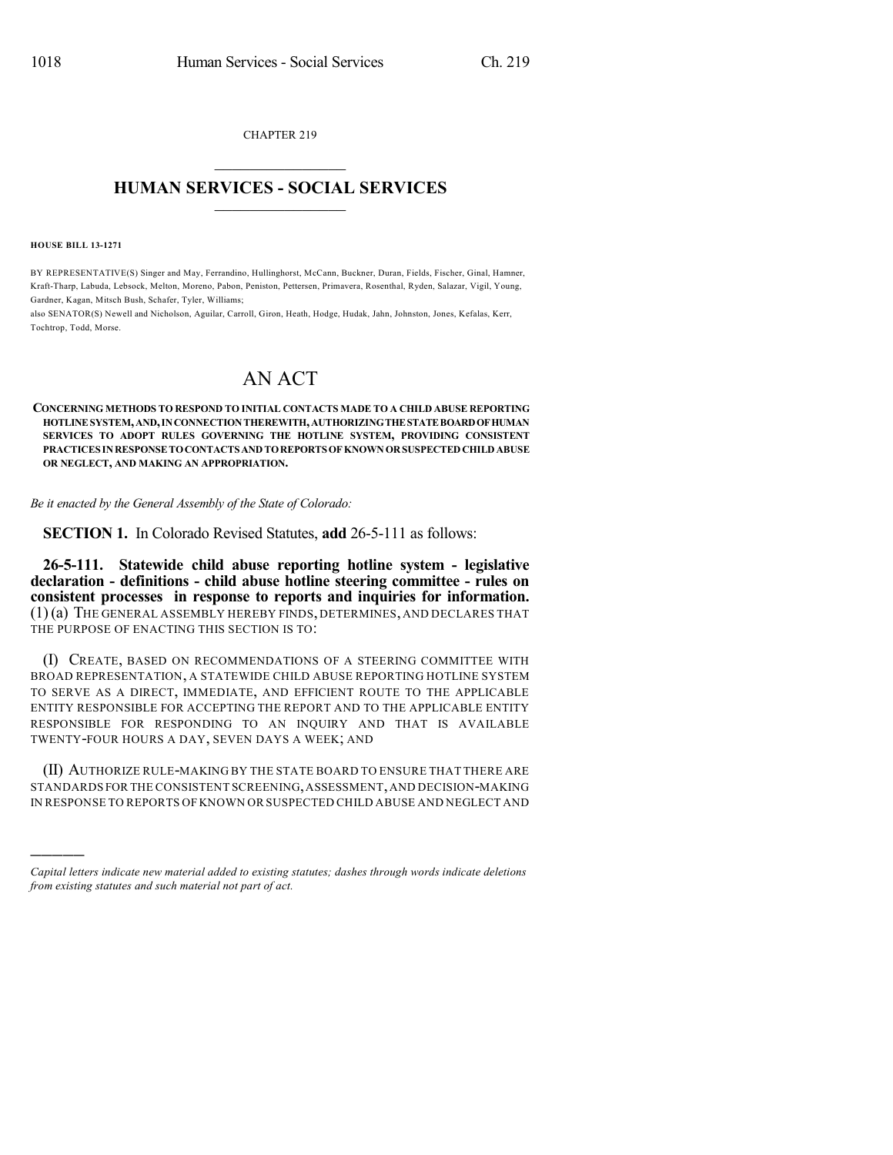CHAPTER 219  $\overline{\phantom{a}}$  . The set of the set of the set of the set of the set of the set of the set of the set of the set of the set of the set of the set of the set of the set of the set of the set of the set of the set of the set o

## **HUMAN SERVICES - SOCIAL SERVICES**  $\frac{1}{2}$  ,  $\frac{1}{2}$  ,  $\frac{1}{2}$  ,  $\frac{1}{2}$  ,  $\frac{1}{2}$  ,  $\frac{1}{2}$  ,  $\frac{1}{2}$

**HOUSE BILL 13-1271**

)))))

BY REPRESENTATIVE(S) Singer and May, Ferrandino, Hullinghorst, McCann, Buckner, Duran, Fields, Fischer, Ginal, Hamner, Kraft-Tharp, Labuda, Lebsock, Melton, Moreno, Pabon, Peniston, Pettersen, Primavera, Rosenthal, Ryden, Salazar, Vigil, Young, Gardner, Kagan, Mitsch Bush, Schafer, Tyler, Williams;

also SENATOR(S) Newell and Nicholson, Aguilar, Carroll, Giron, Heath, Hodge, Hudak, Jahn, Johnston, Jones, Kefalas, Kerr, Tochtrop, Todd, Morse.

## AN ACT

**CONCERNING METHODS TO RESPOND TO INITIAL CONTACTS MADE TO A CHILD ABUSE REPORTING HOTLINE SYSTEM,AND,INCONNECTIONTHEREWITH,AUTHORIZINGTHESTATEBOARDOFHUMAN SERVICES TO ADOPT RULES GOVERNING THE HOTLINE SYSTEM, PROVIDING CONSISTENT PRACTICES INRESPONSETOCONTACTSANDTOREPORTSOF KNOWNORSUSPECTEDCHILDABUSE OR NEGLECT, AND MAKING AN APPROPRIATION.**

*Be it enacted by the General Assembly of the State of Colorado:*

**SECTION 1.** In Colorado Revised Statutes, **add** 26-5-111 as follows:

**26-5-111. Statewide child abuse reporting hotline system - legislative declaration - definitions - child abuse hotline steering committee - rules on consistent processes in response to reports and inquiries for information.** (1)(a) THE GENERAL ASSEMBLY HEREBY FINDS, DETERMINES, AND DECLARES THAT THE PURPOSE OF ENACTING THIS SECTION IS TO:

(I) CREATE, BASED ON RECOMMENDATIONS OF A STEERING COMMITTEE WITH BROAD REPRESENTATION, A STATEWIDE CHILD ABUSE REPORTING HOTLINE SYSTEM TO SERVE AS A DIRECT, IMMEDIATE, AND EFFICIENT ROUTE TO THE APPLICABLE ENTITY RESPONSIBLE FOR ACCEPTING THE REPORT AND TO THE APPLICABLE ENTITY RESPONSIBLE FOR RESPONDING TO AN INQUIRY AND THAT IS AVAILABLE TWENTY-FOUR HOURS A DAY, SEVEN DAYS A WEEK; AND

(II) AUTHORIZE RULE-MAKING BY THE STATE BOARD TO ENSURE THAT THERE ARE STANDARDS FOR THE CONSISTENT SCREENING,ASSESSMENT,AND DECISION-MAKING IN RESPONSE TO REPORTS OF KNOWN OR SUSPECTED CHILD ABUSE AND NEGLECT AND

*Capital letters indicate new material added to existing statutes; dashes through words indicate deletions from existing statutes and such material not part of act.*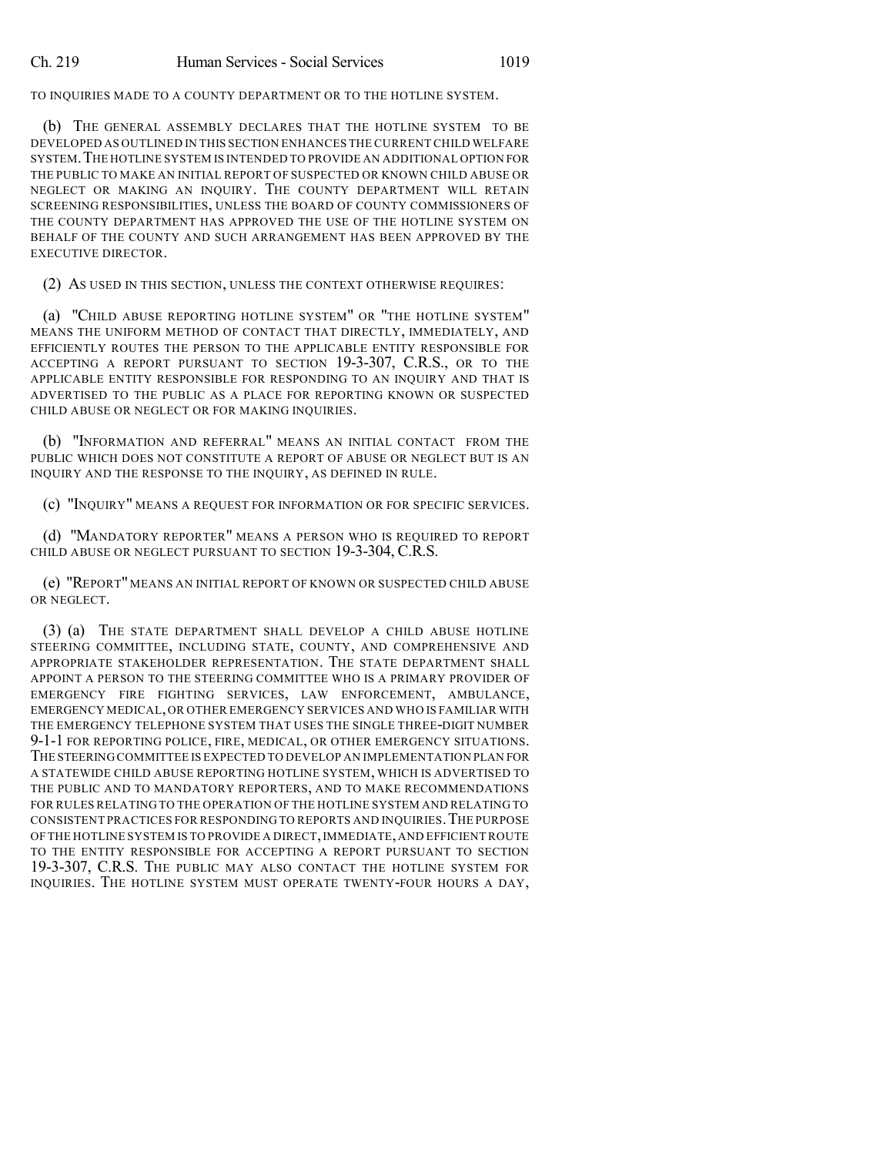TO INQUIRIES MADE TO A COUNTY DEPARTMENT OR TO THE HOTLINE SYSTEM.

(b) THE GENERAL ASSEMBLY DECLARES THAT THE HOTLINE SYSTEM TO BE DEVELOPED AS OUTLINED IN THIS SECTION ENHANCES THE CURRENT CHILD WELFARE SYSTEM.THE HOTLINE SYSTEM IS INTENDED TO PROVIDE AN ADDITIONAL OPTION FOR THE PUBLIC TO MAKE AN INITIAL REPORT OF SUSPECTED OR KNOWN CHILD ABUSE OR NEGLECT OR MAKING AN INQUIRY. THE COUNTY DEPARTMENT WILL RETAIN SCREENING RESPONSIBILITIES, UNLESS THE BOARD OF COUNTY COMMISSIONERS OF THE COUNTY DEPARTMENT HAS APPROVED THE USE OF THE HOTLINE SYSTEM ON BEHALF OF THE COUNTY AND SUCH ARRANGEMENT HAS BEEN APPROVED BY THE EXECUTIVE DIRECTOR.

(2) AS USED IN THIS SECTION, UNLESS THE CONTEXT OTHERWISE REQUIRES:

(a) "CHILD ABUSE REPORTING HOTLINE SYSTEM" OR "THE HOTLINE SYSTEM" MEANS THE UNIFORM METHOD OF CONTACT THAT DIRECTLY, IMMEDIATELY, AND EFFICIENTLY ROUTES THE PERSON TO THE APPLICABLE ENTITY RESPONSIBLE FOR ACCEPTING A REPORT PURSUANT TO SECTION 19-3-307, C.R.S., OR TO THE APPLICABLE ENTITY RESPONSIBLE FOR RESPONDING TO AN INQUIRY AND THAT IS ADVERTISED TO THE PUBLIC AS A PLACE FOR REPORTING KNOWN OR SUSPECTED CHILD ABUSE OR NEGLECT OR FOR MAKING INQUIRIES.

(b) "INFORMATION AND REFERRAL" MEANS AN INITIAL CONTACT FROM THE PUBLIC WHICH DOES NOT CONSTITUTE A REPORT OF ABUSE OR NEGLECT BUT IS AN INQUIRY AND THE RESPONSE TO THE INQUIRY, AS DEFINED IN RULE.

(c) "INQUIRY" MEANS A REQUEST FOR INFORMATION OR FOR SPECIFIC SERVICES.

(d) "MANDATORY REPORTER" MEANS A PERSON WHO IS REQUIRED TO REPORT CHILD ABUSE OR NEGLECT PURSUANT TO SECTION 19-3-304, C.R.S.

(e) "REPORT" MEANS AN INITIAL REPORT OF KNOWN OR SUSPECTED CHILD ABUSE OR NEGLECT.

(3) (a) THE STATE DEPARTMENT SHALL DEVELOP A CHILD ABUSE HOTLINE STEERING COMMITTEE, INCLUDING STATE, COUNTY, AND COMPREHENSIVE AND APPROPRIATE STAKEHOLDER REPRESENTATION. THE STATE DEPARTMENT SHALL APPOINT A PERSON TO THE STEERING COMMITTEE WHO IS A PRIMARY PROVIDER OF EMERGENCY FIRE FIGHTING SERVICES, LAW ENFORCEMENT, AMBULANCE, EMERGENCY MEDICAL,OR OTHER EMERGENCY SERVICES AND WHO IS FAMILIAR WITH THE EMERGENCY TELEPHONE SYSTEM THAT USES THE SINGLE THREE-DIGIT NUMBER 9-1-1 FOR REPORTING POLICE, FIRE, MEDICAL, OR OTHER EMERGENCY SITUATIONS. THE STEERING COMMITTEE IS EXPECTED TO DEVELOP AN IMPLEMENTATION PLAN FOR A STATEWIDE CHILD ABUSE REPORTING HOTLINE SYSTEM, WHICH IS ADVERTISED TO THE PUBLIC AND TO MANDATORY REPORTERS, AND TO MAKE RECOMMENDATIONS FOR RULES RELATING TO THE OPERATION OF THE HOTLINE SYSTEM AND RELATING TO CONSISTENT PRACTICES FOR RESPONDING TO REPORTS AND INQUIRIES.THE PURPOSE OF THE HOTLINE SYSTEM IS TO PROVIDE A DIRECT,IMMEDIATE,AND EFFICIENT ROUTE TO THE ENTITY RESPONSIBLE FOR ACCEPTING A REPORT PURSUANT TO SECTION 19-3-307, C.R.S. THE PUBLIC MAY ALSO CONTACT THE HOTLINE SYSTEM FOR INQUIRIES. THE HOTLINE SYSTEM MUST OPERATE TWENTY-FOUR HOURS A DAY,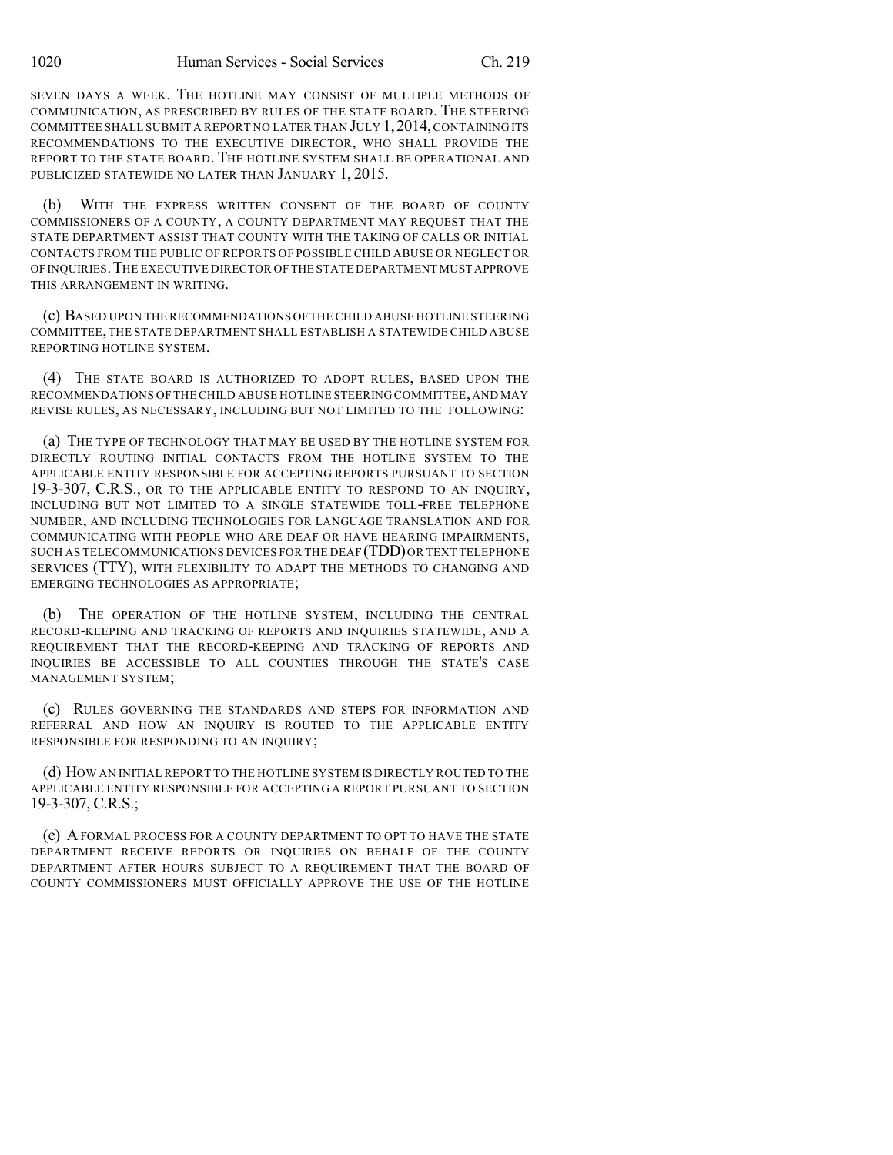SEVEN DAYS A WEEK. THE HOTLINE MAY CONSIST OF MULTIPLE METHODS OF COMMUNICATION, AS PRESCRIBED BY RULES OF THE STATE BOARD. THE STEERING COMMITTEE SHALL SUBMIT A REPORT NO LATER THAN JULY 1, 2014, CONTAINING ITS RECOMMENDATIONS TO THE EXECUTIVE DIRECTOR, WHO SHALL PROVIDE THE REPORT TO THE STATE BOARD. THE HOTLINE SYSTEM SHALL BE OPERATIONAL AND PUBLICIZED STATEWIDE NO LATER THAN JANUARY 1, 2015.

(b) WITH THE EXPRESS WRITTEN CONSENT OF THE BOARD OF COUNTY COMMISSIONERS OF A COUNTY, A COUNTY DEPARTMENT MAY REQUEST THAT THE STATE DEPARTMENT ASSIST THAT COUNTY WITH THE TAKING OF CALLS OR INITIAL CONTACTS FROM THE PUBLIC OF REPORTS OF POSSIBLE CHILD ABUSE OR NEGLECT OR OFINQUIRIES.THE EXECUTIVE DIRECTOR OF THE STATE DEPARTMENT MUST APPROVE THIS ARRANGEMENT IN WRITING.

(c) BASED UPON THE RECOMMENDATIONS OFTHE CHILD ABUSE HOTLINE STEERING COMMITTEE,THE STATE DEPARTMENT SHALL ESTABLISH A STATEWIDE CHILD ABUSE REPORTING HOTLINE SYSTEM.

(4) THE STATE BOARD IS AUTHORIZED TO ADOPT RULES, BASED UPON THE RECOMMENDATIONS OF THE CHILD ABUSE HOTLINE STEERING COMMITTEE,AND MAY REVISE RULES, AS NECESSARY, INCLUDING BUT NOT LIMITED TO THE FOLLOWING:

(a) THE TYPE OF TECHNOLOGY THAT MAY BE USED BY THE HOTLINE SYSTEM FOR DIRECTLY ROUTING INITIAL CONTACTS FROM THE HOTLINE SYSTEM TO THE APPLICABLE ENTITY RESPONSIBLE FOR ACCEPTING REPORTS PURSUANT TO SECTION 19-3-307, C.R.S., OR TO THE APPLICABLE ENTITY TO RESPOND TO AN INQUIRY, INCLUDING BUT NOT LIMITED TO A SINGLE STATEWIDE TOLL-FREE TELEPHONE NUMBER, AND INCLUDING TECHNOLOGIES FOR LANGUAGE TRANSLATION AND FOR COMMUNICATING WITH PEOPLE WHO ARE DEAF OR HAVE HEARING IMPAIRMENTS, SUCH AS TELECOMMUNICATIONS DEVICES FOR THE DEAF (TDD) OR TEXT TELEPHONE SERVICES (TTY), WITH FLEXIBILITY TO ADAPT THE METHODS TO CHANGING AND EMERGING TECHNOLOGIES AS APPROPRIATE;

(b) THE OPERATION OF THE HOTLINE SYSTEM, INCLUDING THE CENTRAL RECORD-KEEPING AND TRACKING OF REPORTS AND INQUIRIES STATEWIDE, AND A REQUIREMENT THAT THE RECORD-KEEPING AND TRACKING OF REPORTS AND INQUIRIES BE ACCESSIBLE TO ALL COUNTIES THROUGH THE STATE'S CASE MANAGEMENT SYSTEM;

(c) RULES GOVERNING THE STANDARDS AND STEPS FOR INFORMATION AND REFERRAL AND HOW AN INQUIRY IS ROUTED TO THE APPLICABLE ENTITY RESPONSIBLE FOR RESPONDING TO AN INQUIRY;

(d) HOW AN INITIAL REPORT TO THE HOTLINE SYSTEM IS DIRECTLY ROUTED TO THE APPLICABLE ENTITY RESPONSIBLE FOR ACCEPTING A REPORT PURSUANT TO SECTION 19-3-307, C.R.S.;

(e) AFORMAL PROCESS FOR A COUNTY DEPARTMENT TO OPT TO HAVE THE STATE DEPARTMENT RECEIVE REPORTS OR INQUIRIES ON BEHALF OF THE COUNTY DEPARTMENT AFTER HOURS SUBJECT TO A REQUIREMENT THAT THE BOARD OF COUNTY COMMISSIONERS MUST OFFICIALLY APPROVE THE USE OF THE HOTLINE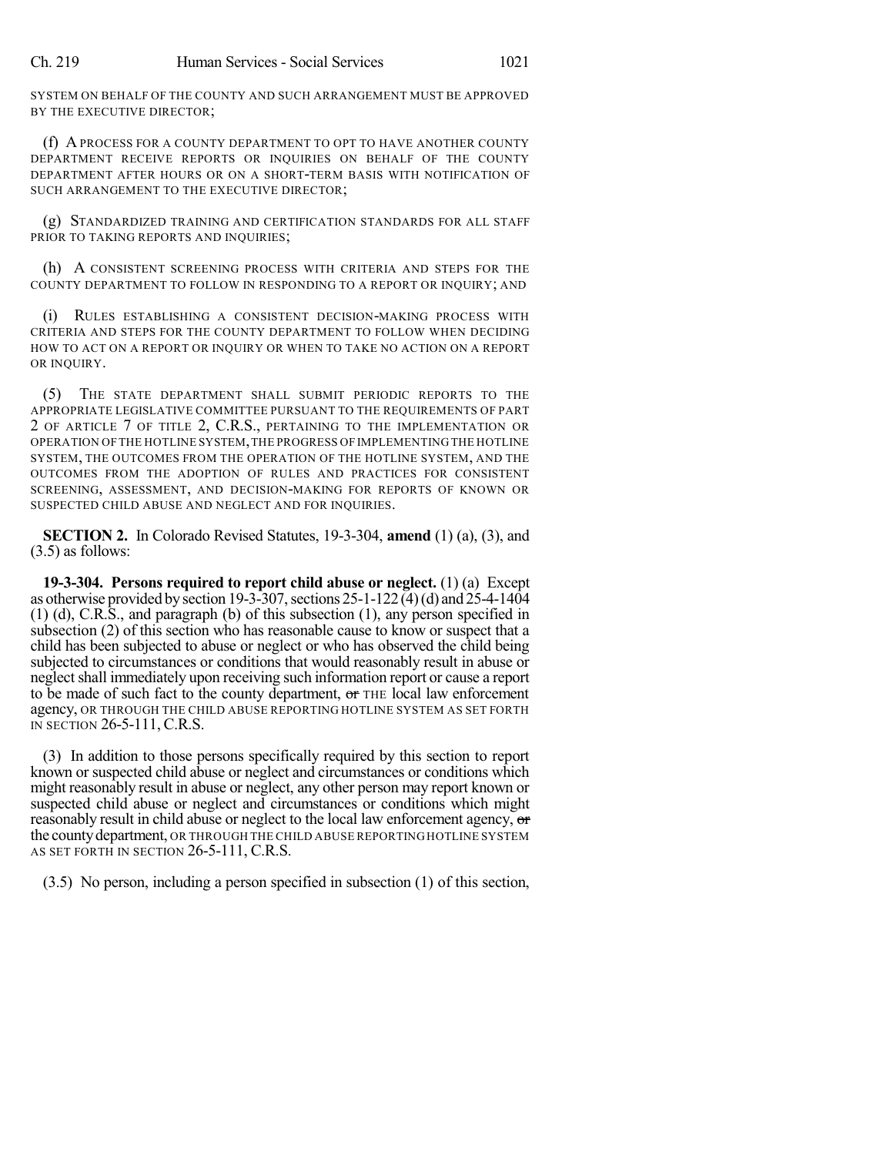SYSTEM ON BEHALF OF THE COUNTY AND SUCH ARRANGEMENT MUST BE APPROVED BY THE EXECUTIVE DIRECTOR:

(f) A PROCESS FOR A COUNTY DEPARTMENT TO OPT TO HAVE ANOTHER COUNTY DEPARTMENT RECEIVE REPORTS OR INQUIRIES ON BEHALF OF THE COUNTY DEPARTMENT AFTER HOURS OR ON A SHORT-TERM BASIS WITH NOTIFICATION OF SUCH ARRANGEMENT TO THE EXECUTIVE DIRECTOR;

(g) STANDARDIZED TRAINING AND CERTIFICATION STANDARDS FOR ALL STAFF PRIOR TO TAKING REPORTS AND INQUIRIES;

(h) A CONSISTENT SCREENING PROCESS WITH CRITERIA AND STEPS FOR THE COUNTY DEPARTMENT TO FOLLOW IN RESPONDING TO A REPORT OR INQUIRY; AND

(i) RULES ESTABLISHING A CONSISTENT DECISION-MAKING PROCESS WITH CRITERIA AND STEPS FOR THE COUNTY DEPARTMENT TO FOLLOW WHEN DECIDING HOW TO ACT ON A REPORT OR INQUIRY OR WHEN TO TAKE NO ACTION ON A REPORT OR INQUIRY.

(5) THE STATE DEPARTMENT SHALL SUBMIT PERIODIC REPORTS TO THE APPROPRIATE LEGISLATIVE COMMITTEE PURSUANT TO THE REQUIREMENTS OF PART 2 OF ARTICLE 7 OF TITLE 2, C.R.S., PERTAINING TO THE IMPLEMENTATION OR OPERATION OF THE HOTLINE SYSTEM,THE PROGRESS OF IMPLEMENTING THE HOTLINE SYSTEM, THE OUTCOMES FROM THE OPERATION OF THE HOTLINE SYSTEM, AND THE OUTCOMES FROM THE ADOPTION OF RULES AND PRACTICES FOR CONSISTENT SCREENING, ASSESSMENT, AND DECISION-MAKING FOR REPORTS OF KNOWN OR SUSPECTED CHILD ABUSE AND NEGLECT AND FOR INQUIRIES.

**SECTION 2.** In Colorado Revised Statutes, 19-3-304, **amend** (1) (a), (3), and (3.5) as follows:

**19-3-304. Persons required to report child abuse or neglect.** (1) (a) Except as otherwise provided by section 19-3-307, sections  $25$ -1-122 (4)(d) and  $25$ -4-1404 (1) (d), C.R.S., and paragraph (b) of this subsection (1), any person specified in subsection (2) of this section who has reasonable cause to know or suspect that a child has been subjected to abuse or neglect or who has observed the child being subjected to circumstances or conditions that would reasonably result in abuse or neglect shall immediately upon receiving such information report or cause a report to be made of such fact to the county department, or THE local law enforcement agency, OR THROUGH THE CHILD ABUSE REPORTING HOTLINE SYSTEM AS SET FORTH IN SECTION 26-5-111, C.R.S.

(3) In addition to those persons specifically required by this section to report known or suspected child abuse or neglect and circumstances or conditions which might reasonably result in abuse or neglect, any other person may report known or suspected child abuse or neglect and circumstances or conditions which might reasonably result in child abuse or neglect to the local law enforcement agency, or the countydepartment, OR THROUGH THE CHILD ABUSE REPORTING HOTLINE SYSTEM AS SET FORTH IN SECTION 26-5-111, C.R.S.

(3.5) No person, including a person specified in subsection (1) of this section,